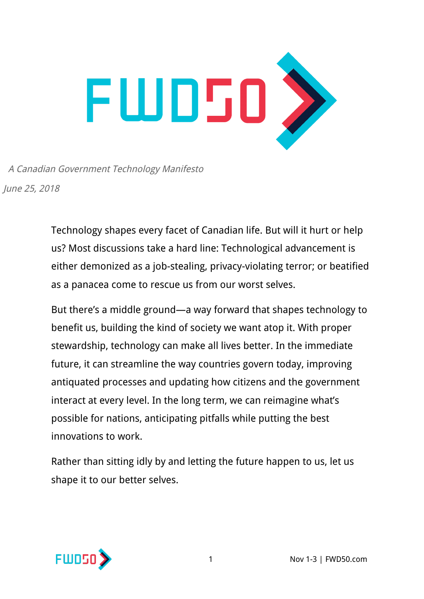

A Canadian Government Technology Manifesto June 25, 2018

> Technology shapes every facet of Canadian life. But will it hurt or help us? Most discussions take a hard line: Technological advancement is either demonized as a job-stealing, privacy-violating terror; or beatified as a panacea come to rescue us from our worst selves.

> But there's a middle ground—a way forward that shapes technology to benefit us, building the kind of society we want atop it. With proper stewardship, technology can make all lives better. In the immediate future, it can streamline the way countries govern today, improving antiquated processes and updating how citizens and the government interact at every level. In the long term, we can reimagine what's possible for nations, anticipating pitfalls while putting the best innovations to work.

Rather than sitting idly by and letting the future happen to us, let us shape it to our better selves.

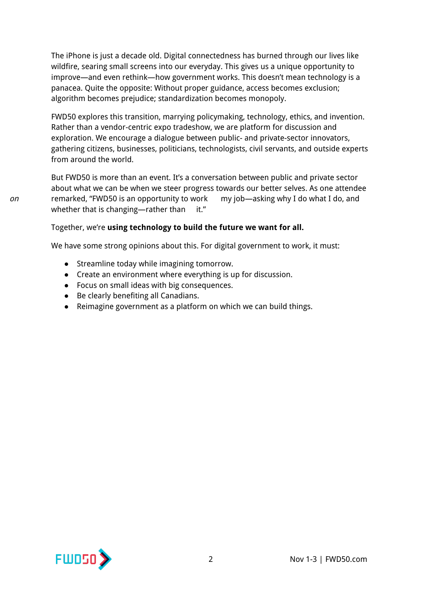The iPhone is just a decade old. Digital connectedness has burned through our lives like wildfire, searing small screens into our everyday. This gives us a unique opportunity to improve—and even rethink—how government works. This doesn't mean technology is a panacea. Quite the opposite: Without proper guidance, access becomes exclusion; algorithm becomes prejudice; standardization becomes monopoly.

FWD50 explores this transition, marrying policymaking, technology, ethics, and invention. Rather than a vendor-centric expo tradeshow, we are platform for discussion and exploration. We encourage a dialogue between public- and private-sector innovators, gathering citizens, businesses, politicians, technologists, civil servants, and outside experts from around the world.

But FWD50 is more than an event. It's a conversation between public and private sector about what we can be when we steer progress towards our better selves. As one attendee on remarked, "FWD50 is an opportunity to work my job—asking why I do what I do, and whether that is changing—rather than  $it."$ 

#### Together, we're **using technology to build the future we want for all.**

We have some strong opinions about this. For digital government to work, it must:

- Streamline today while imagining tomorrow.
- Create an environment where everything is up for discussion.
- Focus on small ideas with big consequences.
- Be clearly benefiting all Canadians.
- Reimagine government as a platform on which we can build things.

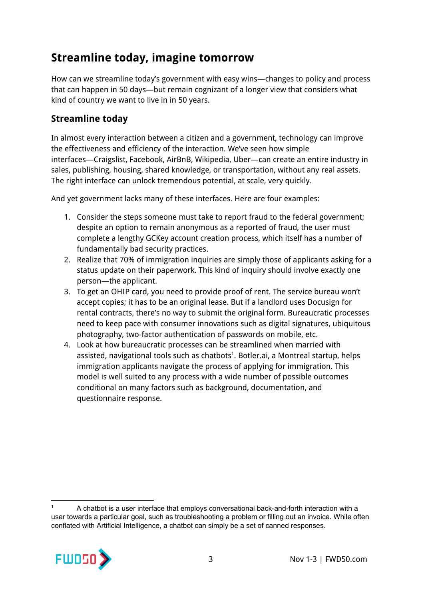# **Streamline today, imagine tomorrow**

How can we streamline today's government with easy wins—changes to policy and process that can happen in 50 days—but remain cognizant of a longer view that considers what kind of country we want to live in in 50 years.

### **Streamline today**

In almost every interaction between a citizen and a government, technology can improve the effectiveness and efficiency of the interaction. We've seen how simple interfaces—Craigslist, Facebook, AirBnB, Wikipedia, Uber—can create an entire industry in sales, publishing, housing, shared knowledge, or transportation, without any real assets. The right interface can unlock tremendous potential, at scale, very quickly.

And yet government lacks many of these interfaces. Here are four examples:

- 1. Consider the steps someone must take to report fraud to the federal government; despite an option to remain anonymous as a reported of fraud, the user must complete a lengthy GCKey account creation process, which itself has a number of fundamentally bad security practices.
- 2. Realize that 70% of immigration inquiries are simply those of applicants asking for a status update on their paperwork. This kind of inquiry should involve exactly one person—the applicant.
- 3. To get an OHIP card, you need to provide proof of rent. The service bureau won't accept copies; it has to be an original lease. But if a landlord uses Docusign for rental contracts, there's no way to submit the original form. Bureaucratic processes need to keep pace with consumer innovations such as digital signatures, ubiquitous photography, two-factor authentication of passwords on mobile, etc.
- 4. Look at how bureaucratic processes can be streamlined when married with assisted, navigational tools such as chatbots $^1$ . Botler.ai, a Montreal startup, helps immigration applicants navigate the process of applying for immigration. This model is well suited to any process with a wide number of possible outcomes conditional on many factors such as background, documentation, and questionnaire response.

A chatbot is a user interface that employs conversational back-and-forth interaction with a user towards a particular goal, such as troubleshooting a problem or filling out an invoice. While often conflated with Artificial Intelligence, a chatbot can simply be a set of canned responses.

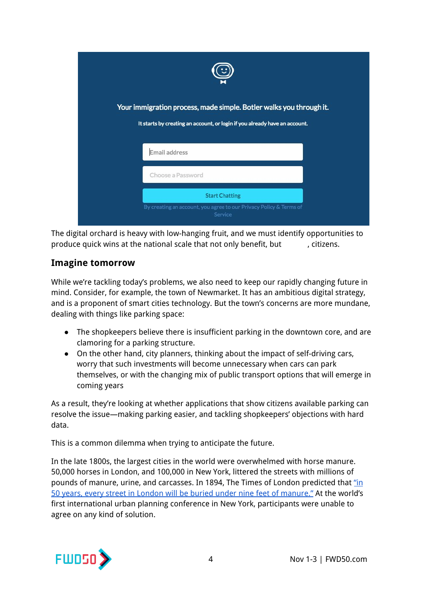| Your immigration process, made simple. Botler walks you through it.<br>It starts by creating an account, or login if you already have an account. |
|---------------------------------------------------------------------------------------------------------------------------------------------------|
| Email address                                                                                                                                     |
| Choose a Password                                                                                                                                 |
| <b>Start Chatting</b>                                                                                                                             |
| By creating an account, you agree to our Privacy Policy & Terms of<br>Service                                                                     |

The digital orchard is heavy with low-hanging fruit, and we must identify opportunities to produce quick wins at the national scale that not only benefit, but , citizens.

#### **Imagine tomorrow**

While we're tackling today's problems, we also need to keep our rapidly changing future in mind. Consider, for example, the town of Newmarket. It has an ambitious digital strategy, and is a proponent of smart cities technology. But the town's concerns are more mundane, dealing with things like parking space:

- The shopkeepers believe there is insufficient parking in the downtown core, and are clamoring for a parking structure.
- On the other hand, city planners, thinking about the impact of self-driving cars, worry that such investments will become unnecessary when cars can park themselves, or with the changing mix of public transport options that will emerge in coming years

As a result, they're looking at whether applications that show citizens available parking can resolve the issue—making parking easier, and tackling shopkeepers' objections with hard data.

This is a common dilemma when trying to anticipate the future.

In the late 1800s, the largest cities in the world were overwhelmed with horse manure. 50,000 horses in London, and 100,000 in New York, littered the streets with millions of pounds of manure, urine, and carcasses. In 1894, The Times of London predicted that ["in](http://www.historic-uk.com/HistoryUK/HistoryofBritain/Great-Horse-Manure-Crisis-of-1894/) 50 years, every street in London will be buried under nine feet of [manure."](http://www.historic-uk.com/HistoryUK/HistoryofBritain/Great-Horse-Manure-Crisis-of-1894/) At the world's first international urban planning conference in New York, participants were unable to agree on any kind of solution.

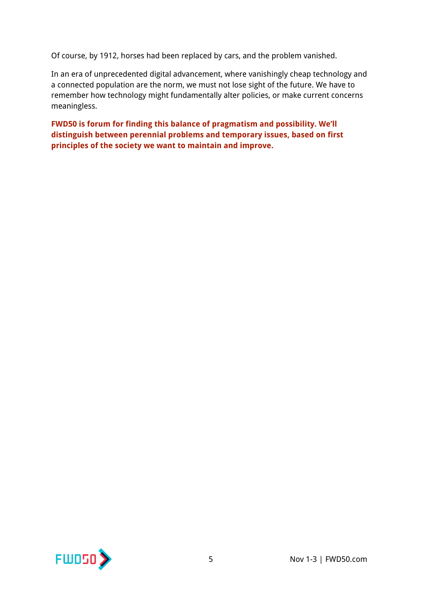Of course, by 1912, horses had been replaced by cars, and the problem vanished.

In an era of unprecedented digital advancement, where vanishingly cheap technology and a connected population are the norm, we must not lose sight of the future. We have to remember how technology might fundamentally alter policies, or make current concerns meaningless.

**FWD50 is forum for finding this balance of pragmatism and possibility. We'll distinguish between perennial problems and temporary issues, based on first principles of the society we want to maintain and improve.**

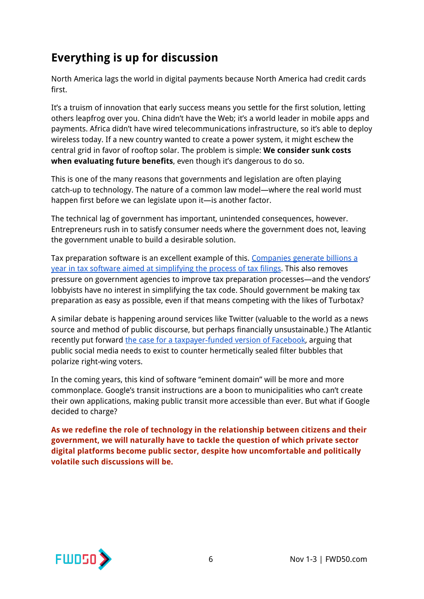# **Everything is up for discussion**

North America lags the world in digital payments because North America had credit cards first.

It's a truism of innovation that early success means you settle for the first solution, letting others leapfrog over you. China didn't have the Web; it's a world leader in mobile apps and payments. Africa didn't have wired telecommunications infrastructure, so it's able to deploy wireless today. If a new country wanted to create a power system, it might eschew the central grid in favor of rooftop solar. The problem is simple: **We consider sunk costs when evaluating future benefits**, even though it's dangerous to do so.

This is one of the many reasons that governments and legislation are often playing catch-up to technology. The nature of a common law model—where the real world must happen first before we can legislate upon it—is another factor.

The technical lag of government has important, unintended consequences, however. Entrepreneurs rush in to satisfy consumer needs where the government does not, leaving the government unable to build a desirable solution.

Tax preparation software is an excellent example of this. [Companies](http://theweek.com/articles/692634/how-america-got-fleeced-by-turbotax) generate billions a year in tax software aimed at [simplifying](http://theweek.com/articles/692634/how-america-got-fleeced-by-turbotax) the process of tax filings. This also removes pressure on government agencies to improve tax preparation processes—and the vendors' lobbyists have no interest in simplifying the tax code. Should government be making tax preparation as easy as possible, even if that means competing with the likes of Turbotax?

A similar debate is happening around services like Twitter (valuable to the world as a news source and method of public discourse, but perhaps financially unsustainable.) The Atlantic recently put forward the case for a [taxpayer-funded](https://www.theatlantic.com/technology/archive/2017/05/the-case-for-a-taxpayer-supported-version-of-facebook/524037/) version of Facebook, arguing that public social media needs to exist to counter hermetically sealed filter bubbles that polarize right-wing voters.

In the coming years, this kind of software "eminent domain" will be more and more commonplace. Google's transit instructions are a boon to municipalities who can't create their own applications, making public transit more accessible than ever. But what if Google decided to charge?

**As we redefine the role of technology in the relationship between citizens and their government, we will naturally have to tackle the question of which private sector digital platforms become public sector, despite how uncomfortable and politically volatile such discussions will be.**

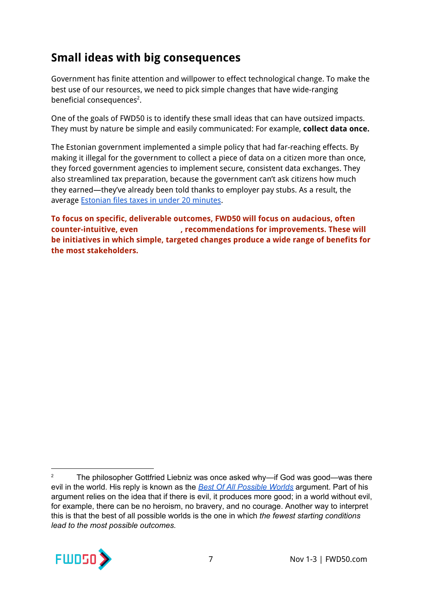# **Small ideas with big consequences**

Government has finite attention and willpower to effect technological change. To make the best use of our resources, we need to pick simple changes that have wide-ranging beneficial consequences<sup>2</sup>.

One of the goals of FWD50 is to identify these small ideas that can have outsized impacts. They must by nature be simple and easily communicated: For example, **collect data once.**

The Estonian government implemented a simple policy that had far-reaching effects. By making it illegal for the government to collect a piece of data on a citizen more than once, they forced government agencies to implement secure, consistent data exchanges. They also streamlined tax preparation, because the government can't ask citizens how much they earned—they've already been told thanks to employer pay stubs. As a result, the average [Estonian](http://www.businessinsider.com/estonia-efficient-tax-filing-system-world-2012-2) files taxes in under 20 minutes.

**To focus on specific, deliverable outcomes, FWD50 will focus on audacious, often subversive counter-intuitive, even , recommendations for improvements. These will be initiatives in which simple, targeted changes produce a wide range of benefits for the most stakeholders.**

<sup>&</sup>lt;sup>2</sup> The philosopher Gottfried Liebniz was once asked why—if God was good—was there evil in the world. His reply is known as the *Best Of All [Possible](https://en.wikipedia.org/wiki/Best_of_all_possible_worlds) Worlds* argument. Part of his argument relies on the idea that if there is evil, it produces more good; in a world without evil, for example, there can be no heroism, no bravery, and no courage. Another way to interpret this is that the best of all possible worlds is the one in which *the fewest starting conditions lead to the most possible outcomes.*

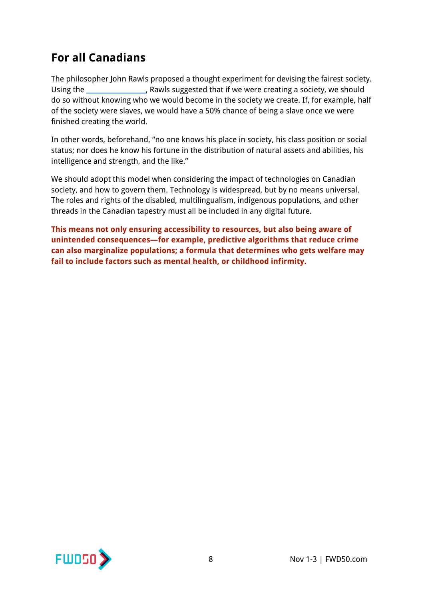# **For all Canadians**

The philosopher John Rawls proposed a thought experiment for devising the fairest society. Using the \_\_\_\_\_\_\_\_\_\_\_\_\_\_\_[,](https://en.wikipedia.org/wiki/Veil_of_ignorance) Rawls suggested that if we were creating a society, we should do so without knowing who we would become in the society we create. If, for example, half of the society were slaves, we would have a 50% chance of being a slave once we were finished creating the world.

In other words, beforehand, "no one knows his place in society, his class position or social status; nor does he know his fortune in the distribution of natural assets and abilities, his intelligence and strength, and the like."

We should adopt this model when considering the impact of technologies on Canadian society, and how to govern them. Technology is widespread, but by no means universal. The roles and rights of the disabled, multilingualism, indigenous populations, and other threads in the Canadian tapestry must all be included in any digital future.

**This means not only ensuring accessibility to resources, but also being aware of unintended consequences—for example, predictive algorithms that reduce crime can also marginalize populations; a formula that determines who gets welfare may fail to include factors such as mental health, or childhood infirmity.**

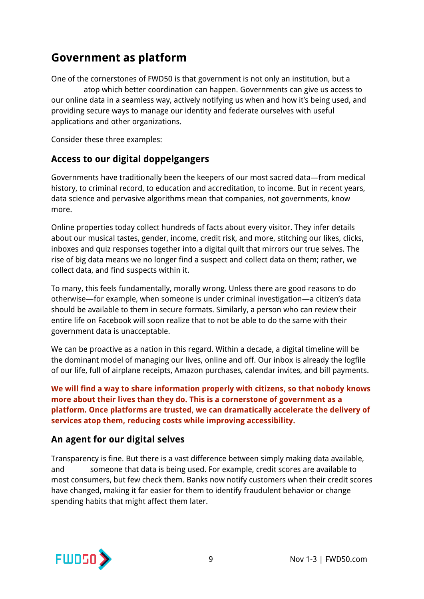## **Government as platform**

One of the cornerstones of FWD50 is that government is not only an institution, but a atop which better coordination can happen. Governments can give us access to our online data in a seamless way, actively notifying us when and how it's being used, and providing secure ways to manage our identity and federate ourselves with useful applications and other organizations.

Consider these three examples:

### **Access to our digital doppelgangers**

Governments have traditionally been the keepers of our most sacred data—from medical history, to criminal record, to education and accreditation, to income. But in recent years, data science and pervasive algorithms mean that companies, not governments, know more.

Online properties today collect hundreds of facts about every visitor. They infer details about our musical tastes, gender, income, credit risk, and more, stitching our likes, clicks, inboxes and quiz responses together into a digital quilt that mirrors our true selves. The rise of big data means we no longer find a suspect and collect data on them; rather, we collect data, and find suspects within it.

To many, this feels fundamentally, morally wrong. Unless there are good reasons to do otherwise—for example, when someone is under criminal investigation—a citizen's data should be available to them in secure formats. Similarly, a person who can review their entire life on Facebook will soon realize that to not be able to do the same with their government data is unacceptable.

We can be proactive as a nation in this regard. Within a decade, a digital timeline will be the dominant model of managing our lives, online and off. Our inbox is already the logfile of our life, full of airplane receipts, Amazon purchases, calendar invites, and bill payments.

**We will find a way to share information properly with citizens, so that nobody knows more about their lives than they do. This is a cornerstone of government as a platform. Once platforms are trusted, we can dramatically accelerate the delivery of services atop them, reducing costs while improving accessibility.**

### **An agent for our digital selves**

Transparency is fine. But there is a vast difference between simply making data available, and someone that data is being used. For example, credit scores are available to most consumers, but few check them. Banks now notify customers when their credit scores have changed, making it far easier for them to identify fraudulent behavior or change spending habits that might affect them later.

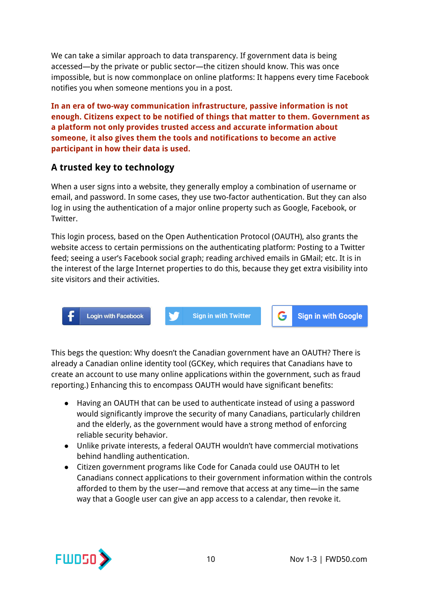We can take a similar approach to data transparency. If government data is being accessed—by the private or public sector—the citizen should know. This was once impossible, but is now commonplace on online platforms: It happens every time Facebook notifies you when someone mentions you in a post.

**In an era of two-way communication infrastructure, passive information is not enough. Citizens expect to be notified of things that matter to them. Government as a platform not only provides trusted access and accurate information about someone, it also gives them the tools and notifications to become an active participant in how their data is used.**

### **A trusted key to technology**

When a user signs into a website, they generally employ a combination of username or email, and password. In some cases, they use two-factor authentication. But they can also log in using the authentication of a major online property such as Google, Facebook, or Twitter.

This login process, based on the Open Authentication Protocol (OAUTH), also grants the website access to certain permissions on the authenticating platform: Posting to a Twitter feed; seeing a user's Facebook social graph; reading archived emails in GMail; etc. It is in the interest of the large Internet properties to do this, because they get extra visibility into site visitors and their activities.

**Login with Facebook** 

**Sign in with Twitter** 

**Sign in with Google** 

G.

This begs the question: Why doesn't the Canadian government have an OAUTH? There is already a Canadian online identity tool (GCKey, which requires that Canadians have to create an account to use many online applications within the government, such as fraud reporting.) Enhancing this to encompass OAUTH would have significant benefits:

- Having an OAUTH that can be used to authenticate instead of using a password would significantly improve the security of many Canadians, particularly children and the elderly, as the government would have a strong method of enforcing reliable security behavior.
- Unlike private interests, a federal OAUTH wouldn't have commercial motivations behind handling authentication.
- Citizen government programs like Code for Canada could use OAUTH to let Canadians connect applications to their government information within the controls afforded to them by the user—and remove that access at any time—in the same way that a Google user can give an app access to a calendar, then revoke it.